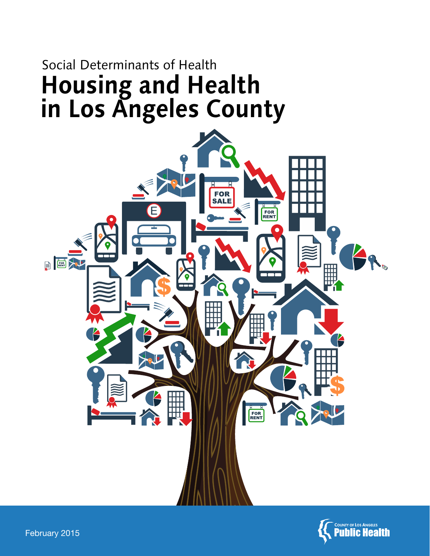# Social Determinants of Health **Housing and Health in Los Angeles County**



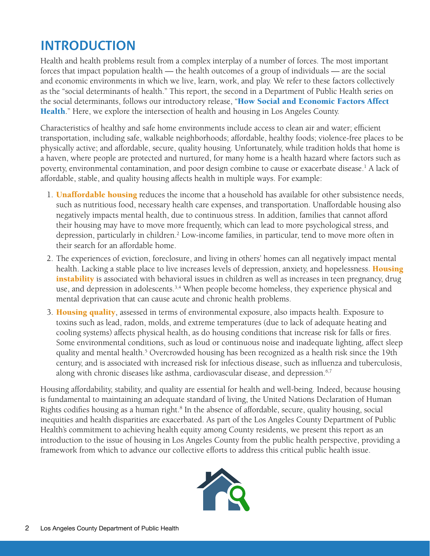## **INTRODUCTION**

Health and health problems result from a complex interplay of a number of forces. The most important forces that impact population health — the health outcomes of a group of individuals — are the social and economic environments in which we live, learn, work, and play. We refer to these factors collectively as the "social determinants of health." This report, the second in a Department of Public Health series on the social determinants, follows our introductory release, "**How Social and Economic Factors Affect** [Health](http://publichealth.lacounty.gov/epi/docs/SocialD_Final_Web.pdf)." Here, we explore the intersection of health and housing in Los Angeles County.

Characteristics of healthy and safe home environments include access to clean air and water; efficient transportation, including safe, walkable neighborhoods; affordable, healthy foods; violence-free places to be physically active; and affordable, secure, quality housing. Unfortunately, while tradition holds that home is a haven, where people are protected and nurtured, for many home is a health hazard where factors such as poverty, environmental contamination, and poor design combine to cause or exacerbate disease.1 A lack of affordable, stable, and quality housing affects health in multiple ways. For example:

- 1. **Unaffordable housing** reduces the income that a household has available for other subsistence needs, such as nutritious food, necessary health care expenses, and transportation. Unaffordable housing also negatively impacts mental health, due to continuous stress. In addition, families that cannot afford their housing may have to move more frequently, which can lead to more psychological stress, and depression, particularly in children.<sup>2</sup> Low-income families, in particular, tend to move more often in their search for an affordable home.
- 2. The experiences of eviction, foreclosure, and living in others' homes can all negatively impact mental health. Lacking a stable place to live increases levels of depression, anxiety, and hopelessness. **Housing** instability is associated with behavioral issues in children as well as increases in teen pregnancy, drug use, and depression in adolescents.<sup>3,4</sup> When people become homeless, they experience physical and mental deprivation that can cause acute and chronic health problems.
- 3. Housing quality, assessed in terms of environmental exposure, also impacts health. Exposure to toxins such as lead, radon, molds, and extreme temperatures (due to lack of adequate heating and cooling systems) affects physical health, as do housing conditions that increase risk for falls or fires. Some environmental conditions, such as loud or continuous noise and inadequate lighting, affect sleep quality and mental health.<sup>5</sup> Overcrowded housing has been recognized as a health risk since the 19th century, and is associated with increased risk for infectious disease, such as influenza and tuberculosis, along with chronic diseases like asthma, cardiovascular disease, and depression.<sup>6,7</sup>

Housing affordability, stability, and quality are essential for health and well-being. Indeed, because housing is fundamental to maintaining an adequate standard of living, the United Nations Declaration of Human Rights codifies housing as a human right.<sup>8</sup> In the absence of affordable, secure, quality housing, social inequities and health disparities are exacerbated. As part of the Los Angeles County Department of Public Health's commitment to achieving health equity among County residents, we present this report as an introduction to the issue of housing in Los Angeles County from the public health perspective, providing a framework from which to advance our collective efforts to address this critical public health issue.

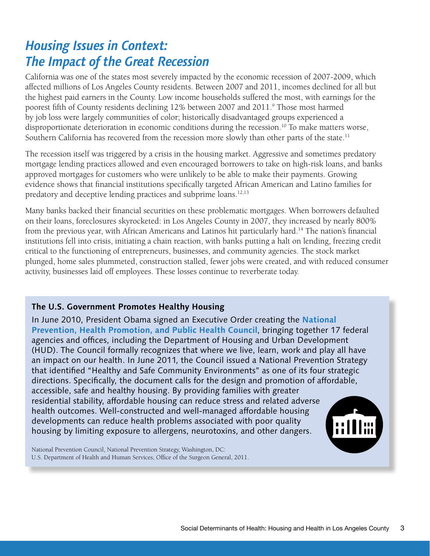## *Housing Issues in Context: The Impact of the Great Recession*

California was one of the states most severely impacted by the economic recession of 2007-2009, which affected millions of Los Angeles County residents. Between 2007 and 2011, incomes declined for all but the highest paid earners in the County. Low income households suffered the most, with earnings for the poorest fifth of County residents declining 12% between 2007 and 2011.<sup>9</sup> Those most harmed by job loss were largely communities of color; historically disadvantaged groups experienced a disproportionate deterioration in economic conditions during the recession.<sup>10</sup> To make matters worse, Southern California has recovered from the recession more slowly than other parts of the state.<sup>11</sup>

The recession itself was triggered by a crisis in the housing market. Aggressive and sometimes predatory mortgage lending practices allowed and even encouraged borrowers to take on high-risk loans, and banks approved mortgages for customers who were unlikely to be able to make their payments. Growing evidence shows that financial institutions specifically targeted African American and Latino families for predatory and deceptive lending practices and subprime loans.12,13

Many banks backed their financial securities on these problematic mortgages. When borrowers defaulted on their loans, foreclosures skyrocketed: in Los Angeles County in 2007, they increased by nearly 800% from the previous year, with African Americans and Latinos hit particularly hard.<sup>14</sup> The nation's financial institutions fell into crisis, initiating a chain reaction, with banks putting a halt on lending, freezing credit critical to the functioning of entrepreneurs, businesses, and community agencies. The stock market plunged, home sales plummeted, construction stalled, fewer jobs were created, and with reduced consumer activity, businesses laid off employees. These losses continue to reverberate today.

#### **The U.S. Government Promotes Healthy Housing**

In June 2010, President Obama signed an Executive Order creating the **[National](http://www.surgeongeneral.gov/initiatives/prevention/2011-annual-status-report-nphpphc.pdf)  [Prevention, Health Promotion, and Public Health Council](http://www.surgeongeneral.gov/initiatives/prevention/2011-annual-status-report-nphpphc.pdf)**, bringing together 17 federal agencies and offices, including the Department of Housing and Urban Development (HUD). The Council formally recognizes that where we live, learn, work and play all have an impact on our health. In June 2011, the Council issued a National Prevention Strategy that identified "Healthy and Safe Community Environments" as one of its four strategic directions. Specifically, the document calls for the design and promotion of affordable, accessible, safe and healthy housing. By providing families with greater residential stability, affordable housing can reduce stress and related adverse health outcomes. Well-constructed and well-managed affordable housing developments can reduce health problems associated with poor quality housing by limiting exposure to allergens, neurotoxins, and other dangers.



National Prevention Council, National Prevention Strategy, Washington, DC: U.S. Department of Health and Human Services, Office of the Surgeon General, 2011.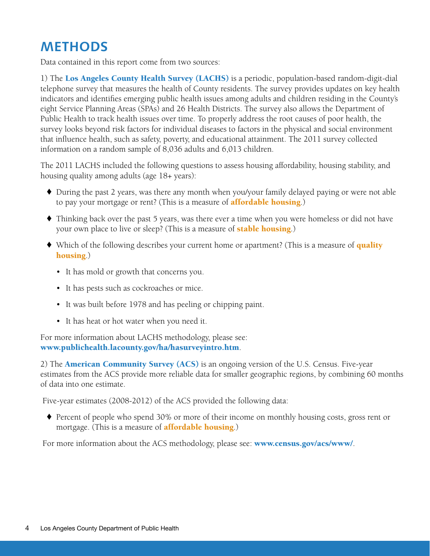## **METHODS**

Data contained in this report come from two sources:

1) The Los Angeles County Health Survey (LACHS) is a periodic, population-based random-digit-dial telephone survey that measures the health of County residents. The survey provides updates on key health indicators and identifies emerging public health issues among adults and children residing in the County's eight Service Planning Areas (SPAs) and 26 Health Districts. The survey also allows the Department of Public Health to track health issues over time. To properly address the root causes of poor health, the survey looks beyond risk factors for individual diseases to factors in the physical and social environment that influence health, such as safety, poverty, and educational attainment. The 2011 survey collected information on a random sample of 8,036 adults and 6,013 children.

The 2011 LACHS included the following questions to assess housing affordability, housing stability, and housing quality among adults (age 18+ years):

- ♦ During the past 2 years, was there any month when you/your family delayed paying or were not able to pay your mortgage or rent? (This is a measure of **affordable housing**.)
- ♦ Thinking back over the past 5 years, was there ever a time when you were homeless or did not have your own place to live or sleep? (This is a measure of **stable housing**.)
- Which of the following describes your current home or apartment? (This is a measure of **quality** housing.)
	- It has mold or growth that concerns you.
	- It has pests such as cockroaches or mice.
	- It was built before 1978 and has peeling or chipping paint.
	- It has heat or hot water when you need it.

For more information about LACHS methodology, please see: www.publichealth.lacounty.gov/ha/hasurveyintro.htm.

2) The **American Community Survey (ACS)** is an ongoing version of the U.S. Census. Five-year estimates from the ACS provide more reliable data for smaller geographic regions, by combining 60 months of data into one estimate.

Five-year estimates (2008-2012) of the ACS provided the following data:

♦ Percent of people who spend 30% or more of their income on monthly housing costs, gross rent or mortgage. (This is a measure of **affordable housing**.)

For more information about the ACS methodology, please see: **www.census.gov/acs/www/**.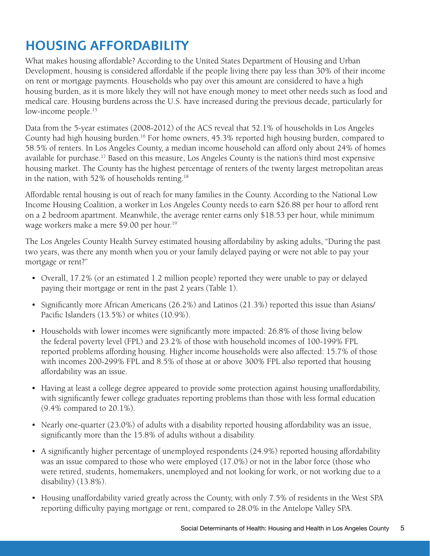## **HOUSING AFFORDABILITY**

What makes housing affordable? According to the United States Department of Housing and Urban Development, housing is considered affordable if the people living there pay less than 30% of their income on rent or mortgage payments. Households who pay over this amount are considered to have a high housing burden, as it is more likely they will not have enough money to meet other needs such as food and medical care. Housing burdens across the U.S. have increased during the previous decade, particularly for low-income people.<sup>15</sup>

Data from the 5-year estimates (2008-2012) of the ACS reveal that 52.1% of households in Los Angeles County had high housing burden.16 For home owners, 45.3% reported high housing burden, compared to 58.5% of renters. In Los Angeles County, a median income household can afford only about 24% of homes available for purchase.17 Based on this measure, Los Angeles County is the nation's third most expensive housing market. The County has the highest percentage of renters of the twenty largest metropolitan areas in the nation, with 52% of households renting.18

Affordable rental housing is out of reach for many families in the County. According to the National Low Income Housing Coalition, a worker in Los Angeles County needs to earn \$26.88 per hour to afford rent on a 2 bedroom apartment. Meanwhile, the average renter earns only \$18.53 per hour, while minimum wage workers make a mere \$9.00 per hour.<sup>19</sup>

The Los Angeles County Health Survey estimated housing affordability by asking adults, "During the past two years, was there any month when you or your family delayed paying or were not able to pay your mortgage or rent?"

- Overall, 17.2% (or an estimated 1.2 million people) reported they were unable to pay or delayed paying their mortgage or rent in the past 2 years (Table 1).
- Significantly more African Americans (26.2%) and Latinos (21.3%) reported this issue than Asians/ Pacific Islanders (13.5%) or whites (10.9%).
- Households with lower incomes were significantly more impacted: 26.8% of those living below the federal poverty level (FPL) and 23.2% of those with household incomes of 100-199% FPL reported problems affording housing. Higher income households were also affected: 15.7% of those with incomes 200-299% FPL and 8.5% of those at or above 300% FPL also reported that housing affordability was an issue.
- Having at least a college degree appeared to provide some protection against housing unaffordability, with significantly fewer college graduates reporting problems than those with less formal education (9.4% compared to 20.1%).
- Nearly one-quarter (23.0%) of adults with a disability reported housing affordability was an issue, significantly more than the 15.8% of adults without a disability.
- A significantly higher percentage of unemployed respondents (24.9%) reported housing affordability was an issue compared to those who were employed (17.0%) or not in the labor force (those who were retired, students, homemakers, unemployed and not looking for work, or not working due to a disability) (13.8%).
- Housing unaffordability varied greatly across the County, with only 7.5% of residents in the West SPA reporting difficulty paying mortgage or rent, compared to 28.0% in the Antelope Valley SPA.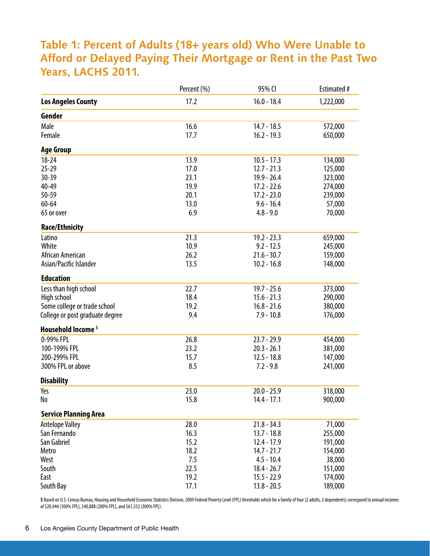### **Table 1: Percent of Adults (18+ years old) Who Were Unable to Afford or Delayed Paying Their Mortgage or Rent in the Past Two Years, LACHS 2011.**

|                                 | Percent (%) | 95% CI        | Estimated # |
|---------------------------------|-------------|---------------|-------------|
| <b>Los Angeles County</b>       | 17.2        | $16.0 - 18.4$ | 1,222,000   |
| Gender                          |             |               |             |
| Male                            | 16.6        | $14.7 - 18.5$ | 572,000     |
| Female                          | 17.7        | $16.2 - 19.3$ | 650,000     |
| <b>Age Group</b>                |             |               |             |
| $18 - 24$                       | 13.9        | $10.5 - 17.3$ | 134,000     |
| $25 - 29$                       | 17.0        | $12.7 - 21.3$ | 125,000     |
| 30-39                           | 23.1        | $19.9 - 26.4$ | 323,000     |
| 40-49                           | 19.9        | $17.2 - 22.6$ | 274,000     |
| 50-59                           | 20.1        | $17.2 - 23.0$ | 239,000     |
| $60 - 64$                       | 13.0        | $9.6 - 16.4$  | 57,000      |
| 65 or over                      | 6.9         | $4.8 - 9.0$   | 70,000      |
| <b>Race/Ethnicity</b>           |             |               |             |
| Latino                          | 21.3        | $19.2 - 23.3$ | 659,000     |
| White                           | 10.9        | $9.2 - 12.5$  | 245,000     |
| African American                | 26.2        | $21.6 - 30.7$ | 159,000     |
| Asian/Pacific Islander          | 13.5        | $10.2 - 16.8$ | 148,000     |
| <b>Education</b>                |             |               |             |
| Less than high school           | 22.7        | $19.7 - 25.6$ | 373,000     |
| High school                     | 18.4        | $15.6 - 21.3$ | 290,000     |
| Some college or trade school    | 19.2        | $16.8 - 21.6$ | 380,000     |
| College or post graduate degree | 9.4         | $7.9 - 10.8$  | 176,000     |
| Household Income <sup>\$</sup>  |             |               |             |
| 0-99% FPL                       | 26.8        | $23.7 - 29.9$ | 454,000     |
| 100-199% FPL                    | 23.2        | $20.3 - 26.1$ | 381,000     |
| 200-299% FPL                    | 15.7        | $12.5 - 18.8$ | 147,000     |
| 300% FPL or above               | 8.5         | $7.2 - 9.8$   | 241,000     |
| <b>Disability</b>               |             |               |             |
| Yes                             | 23.0        | $20.0 - 25.9$ | 318,000     |
| No                              | 15.8        | $14.4 - 17.1$ | 900,000     |
| <b>Service Planning Area</b>    |             |               |             |
| <b>Antelope Valley</b>          | 28.0        | $21.8 - 34.3$ | 71,000      |
| San Fernando                    | 16.3        | $13.7 - 18.8$ | 255,000     |
| San Gabriel                     | 15.2        | $12.4 - 17.9$ | 191,000     |
| Metro                           | 18.2        | $14.7 - 21.7$ | 154,000     |
| West                            | 7.5         | $4.5 - 10.4$  | 38,000      |
| South                           | 22.5        | $18.4 - 26.7$ | 151,000     |
| East                            | 19.2        | $15.5 - 22.9$ | 174,000     |
| South Bay                       | 17.1        | $13.8 - 20.5$ | 189,000     |

\$ Based on U.S. Census Bureau, Housing and Household Economic Statistics Division, 2009 Federal Poverty Level (FPL) thresholds which for a family of four (2 adults, 2 dependents) correspond to annual incomes of \$20,444 (100% FPL), \$40,888 (200% FPL), and \$61,332 (300% FPL).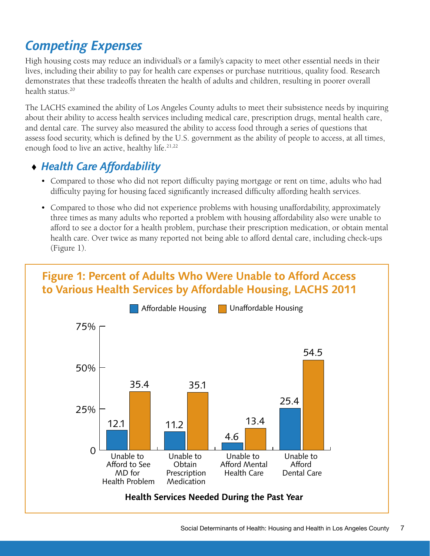## *Competing Expenses*

High housing costs may reduce an individual's or a family's capacity to meet other essential needs in their lives, including their ability to pay for health care expenses or purchase nutritious, quality food. Research demonstrates that these tradeoffs threaten the health of adults and children, resulting in poorer overall health status.20

The LACHS examined the ability of Los Angeles County adults to meet their subsistence needs by inquiring about their ability to access health services including medical care, prescription drugs, mental health care, and dental care. The survey also measured the ability to access food through a series of questions that assess food security, which is defined by the U.S. government as the ability of people to access, at all times, enough food to live an active, healthy life.<sup>21,22</sup>

### ♦ *Health Care Affordability*

- Compared to those who did not report difficulty paying mortgage or rent on time, adults who had difficulty paying for housing faced significantly increased difficulty affording health services.
- Compared to those who did not experience problems with housing unaffordability, approximately three times as many adults who reported a problem with housing affordability also were unable to afford to see a doctor for a health problem, purchase their prescription medication, or obtain mental health care. Over twice as many reported not being able to afford dental care, including check-ups (Figure 1).

Unable to Afford Unable to Afford Unable to Obtain

### **Figure 1: Percent of Adults Who Were Unable to Afford Access to Various Health Services by Affordable Housing, LACHS 2011**

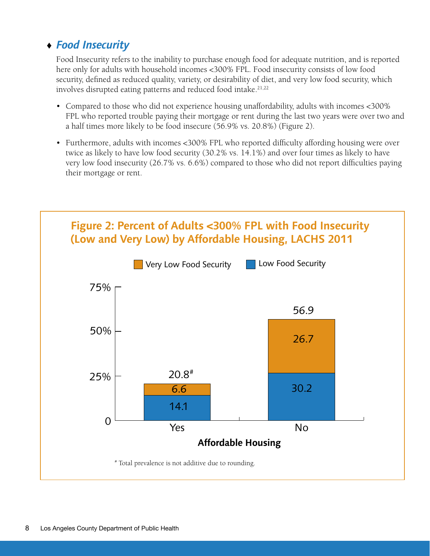### ♦ *Food Insecurity*

Food Insecurity refers to the inability to purchase enough food for adequate nutrition, and is reported here only for adults with household incomes <300% FPL. Food insecurity consists of low food security, defined as reduced quality, variety, or desirability of diet, and very low food security, which involves disrupted eating patterns and reduced food intake.<sup>21,22</sup>

- Compared to those who did not experience housing unaffordability, adults with incomes <300% FPL who reported trouble paying their mortgage or rent during the last two years were over two and a half times more likely to be food insecure (56.9% vs. 20.8%) (Figure 2).
- Furthermore, adults with incomes <300% FPL who reported difficulty affording housing were over twice as likely to have low food security (30.2% vs. 14.1%) and over four times as likely to have very low food insecurity (26.7% vs. 6.6%) compared to those who did not report difficulties paying their mortgage or rent.

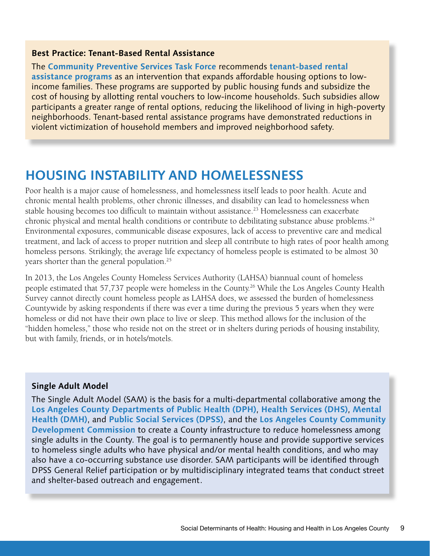#### **Best Practice: Tenant-Based Rental Assistance**

The **[Community Preventive Services Task Force](http://www.thecommunityguide.org)** recommends **[tenant-based rental](http://www.thecommunityguide.org/healthequity/housing/tenantrental.html)  [assistance programs](http://www.thecommunityguide.org/healthequity/housing/tenantrental.html)** as an intervention that expands affordable housing options to lowincome families. These programs are supported by public housing funds and subsidize the cost of housing by allotting rental vouchers to low-income households. Such subsidies allow participants a greater range of rental options, reducing the likelihood of living in high-poverty neighborhoods. Tenant-based rental assistance programs have demonstrated reductions in violent victimization of household members and improved neighborhood safety.

### **HOUSING INSTABILITY AND HOMELESSNESS**

Poor health is a major cause of homelessness, and homelessness itself leads to poor health. Acute and chronic mental health problems, other chronic illnesses, and disability can lead to homelessness when stable housing becomes too difficult to maintain without assistance.<sup>23</sup> Homelessness can exacerbate chronic physical and mental health conditions or contribute to debilitating substance abuse problems.<sup>24</sup> Environmental exposures, communicable disease exposures, lack of access to preventive care and medical treatment, and lack of access to proper nutrition and sleep all contribute to high rates of poor health among homeless persons. Strikingly, the average life expectancy of homeless people is estimated to be almost 30 years shorter than the general population.<sup>25</sup>

In 2013, the Los Angeles County Homeless Services Authority (LAHSA) biannual count of homeless people estimated that 57,737 people were homeless in the County.26 While the Los Angeles County Health Survey cannot directly count homeless people as LAHSA does, we assessed the burden of homelessness Countywide by asking respondents if there was ever a time during the previous 5 years when they were homeless or did not have their own place to live or sleep. This method allows for the inclusion of the "hidden homeless," those who reside not on the street or in shelters during periods of housing instability, but with family, friends, or in hotels/motels.

#### **Single Adult Model**

The Single Adult Model (SAM) is the basis for a multi-departmental collaborative among the **[Los Angeles County Departments of](http://ph.lacounty.gov/) Public Health (DPH)**, **[Health Services \(DHS\)](http://dhs.lacounty.gov/wps/portal/dhs)**, **[Mental](http://dmh.lacounty.gov/wps/portal/dmh)  [Health \(DMH\)](http://dmh.lacounty.gov/wps/portal/dmh)**, and **[Public Social Services \(DPSS\)](http://dpss.co.la.ca.us/)**, and the **[Los Angeles County Community](http://www3.lacdc.org/CDCWebsite/Default.aspx)  [Development Commission](http://www3.lacdc.org/CDCWebsite/Default.aspx)** to create a County infrastructure to reduce homelessness among single adults in the County. The goal is to permanently house and provide supportive services to homeless single adults who have physical and/or mental health conditions, and who may also have a co-occurring substance use disorder. SAM participants will be identified through DPSS General Relief participation or by multidisciplinary integrated teams that conduct street and shelter-based outreach and engagement.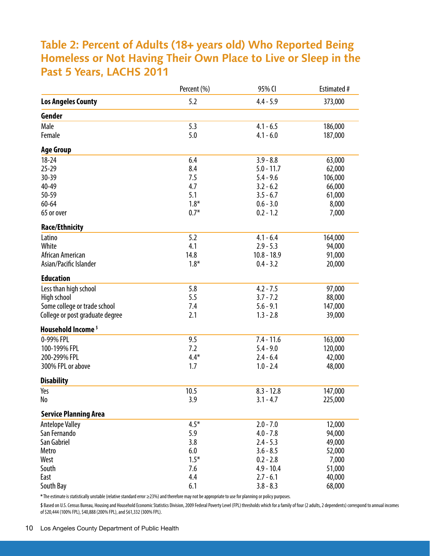### **Table 2: Percent of Adults (18+ years old) Who Reported Being Homeless or Not Having Their Own Place to Live or Sleep in the Past 5 Years, LACHS 2011**

|                                 | Percent (%) | 95% CI        | <b>Estimated #</b> |
|---------------------------------|-------------|---------------|--------------------|
| <b>Los Angeles County</b>       | 5.2         | $4.4 - 5.9$   | 373,000            |
| Gender                          |             |               |                    |
| Male                            | 5.3         | $4.1 - 6.5$   | 186,000            |
| Female                          | 5.0         | $4.1 - 6.0$   | 187,000            |
| <b>Age Group</b>                |             |               |                    |
| $18 - 24$                       | 6.4         | $3.9 - 8.8$   | 63,000             |
| $25 - 29$                       | 8.4         | $5.0 - 11.7$  | 62,000             |
| 30-39                           | 7.5         | $5.4 - 9.6$   | 106,000            |
| 40-49                           | 4.7         | $3.2 - 6.2$   | 66,000             |
| 50-59                           | 5.1         | $3.5 - 6.7$   | 61,000             |
| $60 - 64$                       | $1.8*$      | $0.6 - 3.0$   | 8,000              |
| 65 or over                      | $0.7*$      | $0.2 - 1.2$   | 7,000              |
|                                 |             |               |                    |
| <b>Race/Ethnicity</b>           |             |               |                    |
| Latino                          | 5.2         | $4.1 - 6.4$   | 164,000            |
| White                           | 4.1         | $2.9 - 5.3$   | 94,000             |
| African American                | 14.8        | $10.8 - 18.9$ | 91,000             |
| Asian/Pacific Islander          | $1.8*$      | $0.4 - 3.2$   | 20,000             |
| <b>Education</b>                |             |               |                    |
| Less than high school           | 5.8         | $4.2 - 7.5$   | 97,000             |
| High school                     | 5.5         | $3.7 - 7.2$   | 88,000             |
| Some college or trade school    | 7.4         | $5.6 - 9.1$   | 147,000            |
| College or post graduate degree | 2.1         | $1.3 - 2.8$   | 39,000             |
| Household Income <sup>\$</sup>  |             |               |                    |
| 0-99% FPL                       | 9.5         | $7.4 - 11.6$  | 163,000            |
| 100-199% FPL                    | 7.2         | $5.4 - 9.0$   | 120,000            |
| 200-299% FPL                    | $4.4*$      | $2.4 - 6.4$   | 42,000             |
| 300% FPL or above               | 1.7         | $1.0 - 2.4$   | 48,000             |
| <b>Disability</b>               |             |               |                    |
| Yes                             | 10.5        | $8.3 - 12.8$  | 147,000            |
| No                              | 3.9         | $3.1 - 4.7$   | 225,000            |
| <b>Service Planning Area</b>    |             |               |                    |
| <b>Antelope Valley</b>          | $4.5*$      | $2.0 - 7.0$   | 12,000             |
| San Fernando                    | 5.9         | $4.0 - 7.8$   | 94,000             |
| San Gabriel                     | 3.8         | $2.4 - 5.3$   | 49,000             |
| Metro                           | 6.0         | $3.6 - 8.5$   | 52,000             |
| West                            | $1.5*$      | $0.2 - 2.8$   | 7,000              |
| South                           | 7.6         | $4.9 - 10.4$  | 51,000             |
| East                            | 4.4         | $2.7 - 6.1$   | 40,000             |
| South Bay                       | 6.1         | $3.8 - 8.3$   | 68,000             |

**\*** The estimate is statistically unstable (relative standard error ≥23%) and therefore may not be appropriate to use for planning or policy purposes.

\$ Based on U.S. Census Bureau, Housing and Household Economic Statistics Division, 2009 Federal Poverty Level (FPL) thresholds which for a family of four (2 adults, 2 dependents) correspond to annual incomes of \$20,444 (100% FPL), \$40,888 (200% FPL), and \$61,332 (300% FPL).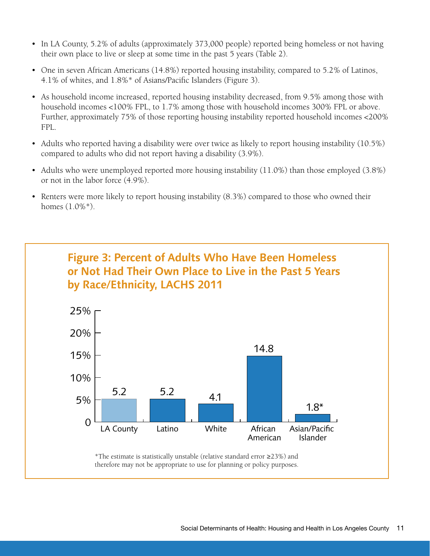- In LA County, 5.2% of adults (approximately 373,000 people) reported being homeless or not having their own place to live or sleep at some time in the past 5 years (Table 2).
- One in seven African Americans (14.8%) reported housing instability, compared to 5.2% of Latinos, 4.1% of whites, and 1.8%\* of Asians/Pacific Islanders (Figure 3).
- As household income increased, reported housing instability decreased, from 9.5% among those with household incomes <100% FPL, to 1.7% among those with household incomes 300% FPL or above. Further, approximately 75% of those reporting housing instability reported household incomes <200% FPL.
- Adults who reported having a disability were over twice as likely to report housing instability (10.5%) compared to adults who did not report having a disability (3.9%).
- Adults who were unemployed reported more housing instability (11.0%) than those employed (3.8%) or not in the labor force (4.9%).
- Renters were more likely to report housing instability (8.3%) compared to those who owned their homes (1.0%\*).

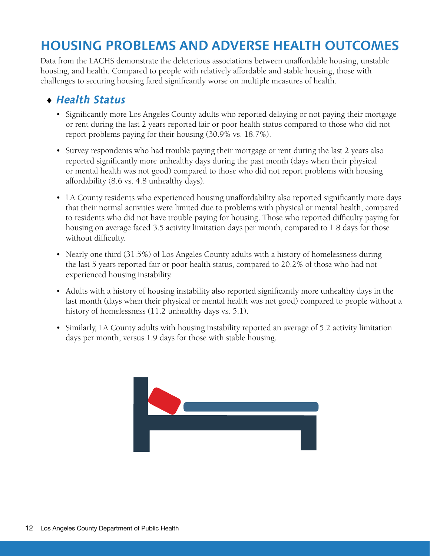## **HOUSING PROBLEMS AND ADVERSE HEALTH OUTCOMES**

Data from the LACHS demonstrate the deleterious associations between unaffordable housing, unstable housing, and health. Compared to people with relatively affordable and stable housing, those with challenges to securing housing fared significantly worse on multiple measures of health.

### ♦ *Health Status*

- Significantly more Los Angeles County adults who reported delaying or not paying their mortgage or rent during the last 2 years reported fair or poor health status compared to those who did not report problems paying for their housing (30.9% vs. 18.7%).
- Survey respondents who had trouble paying their mortgage or rent during the last 2 years also reported significantly more unhealthy days during the past month (days when their physical or mental health was not good) compared to those who did not report problems with housing affordability (8.6 vs. 4.8 unhealthy days).
- LA County residents who experienced housing unaffordability also reported significantly more days that their normal activities were limited due to problems with physical or mental health, compared to residents who did not have trouble paying for housing. Those who reported difficulty paying for housing on average faced 3.5 activity limitation days per month, compared to 1.8 days for those without difficulty.
- Nearly one third (31.5%) of Los Angeles County adults with a history of homelessness during the last 5 years reported fair or poor health status, compared to 20.2% of those who had not experienced housing instability.
- Adults with a history of housing instability also reported significantly more unhealthy days in the last month (days when their physical or mental health was not good) compared to people without a history of homelessness (11.2 unhealthy days vs. 5.1).
- Similarly, LA County adults with housing instability reported an average of 5.2 activity limitation days per month, versus 1.9 days for those with stable housing.

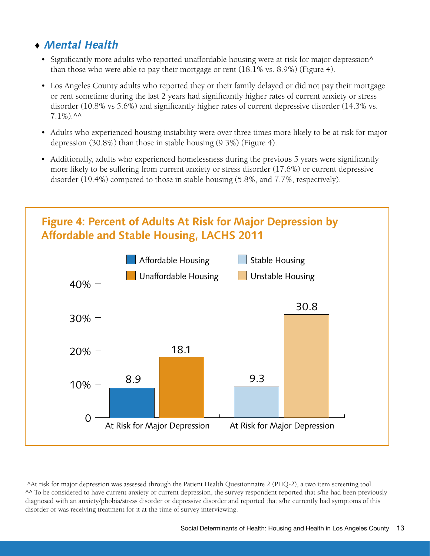### ♦ *Mental Health*

- Significantly more adults who reported unaffordable housing were at risk for major depression^ than those who were able to pay their mortgage or rent (18.1% vs. 8.9%) (Figure 4).
- Los Angeles County adults who reported they or their family delayed or did not pay their mortgage or rent sometime during the last 2 years had significantly higher rates of current anxiety or stress disorder (10.8% vs 5.6%) and significantly higher rates of current depressive disorder (14.3% vs.  $7.1\%)$ .^^
- Adults who experienced housing instability were over three times more likely to be at risk for major depression (30.8%) than those in stable housing (9.3%) (Figure 4).
- Additionally, adults who experienced homelessness during the previous 5 years were significantly more likely to be suffering from current anxiety or stress disorder (17.6%) or current depressive disorder (19.4%) compared to those in stable housing (5.8%, and 7.7%, respectively).



 ^At risk for major depression was assessed through the Patient Health Questionnaire 2 (PHQ-2), a two item screening tool. ^^ To be considered to have current anxiety or current depression, the survey respondent reported that s/he had been previously diagnosed with an anxiety/phobia/stress disorder or depressive disorder and reported that s/he currently had symptoms of this disorder or was receiving treatment for it at the time of survey interviewing.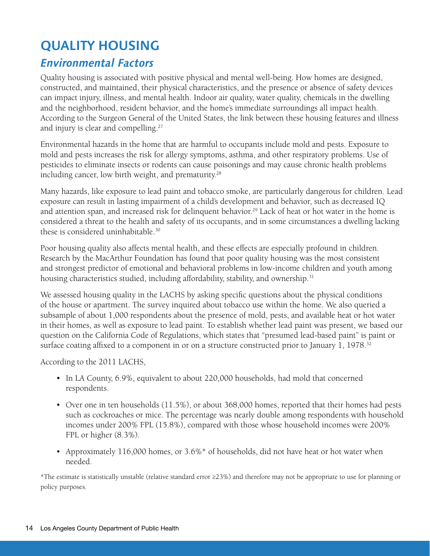## **QUALITY HOUSING**

### *Environmental Factors*

Quality housing is associated with positive physical and mental well-being. How homes are designed, constructed, and maintained, their physical characteristics, and the presence or absence of safety devices can impact injury, illness, and mental health. Indoor air quality, water quality, chemicals in the dwelling and the neighborhood, resident behavior, and the home's immediate surroundings all impact health. According to the Surgeon General of the United States, the link between these housing features and illness and injury is clear and compelling.27

Environmental hazards in the home that are harmful to occupants include mold and pests. Exposure to mold and pests increases the risk for allergy symptoms, asthma, and other respiratory problems. Use of pesticides to eliminate insects or rodents can cause poisonings and may cause chronic health problems including cancer, low birth weight, and prematurity.<sup>28</sup>

Many hazards, like exposure to lead paint and tobacco smoke, are particularly dangerous for children. Lead exposure can result in lasting impairment of a child's development and behavior, such as decreased IQ and attention span, and increased risk for delinquent behavior.<sup>29</sup> Lack of heat or hot water in the home is considered a threat to the health and safety of its occupants, and in some circumstances a dwelling lacking these is considered uninhabitable.30

Poor housing quality also affects mental health, and these effects are especially profound in children. Research by the MacArthur Foundation has found that poor quality housing was the most consistent and strongest predictor of emotional and behavioral problems in low-income children and youth among housing characteristics studied, including affordability, stability, and ownership.<sup>31</sup>

We assessed housing quality in the LACHS by asking specific questions about the physical conditions of the house or apartment. The survey inquired about tobacco use within the home. We also queried a subsample of about 1,000 respondents about the presence of mold, pests, and available heat or hot water in their homes, as well as exposure to lead paint. To establish whether lead paint was present, we based our question on the California Code of Regulations, which states that "presumed lead-based paint" is paint or surface coating affixed to a component in or on a structure constructed prior to January 1, 1978.<sup>32</sup>

According to the 2011 LACHS,

- In LA County, 6.9%, equivalent to about 220,000 households, had mold that concerned respondents.
- Over one in ten households (11.5%), or about 368,000 homes, reported that their homes had pests such as cockroaches or mice. The percentage was nearly double among respondents with household incomes under 200% FPL (15.8%), compared with those whose household incomes were 200% FPL or higher (8.3%).
- Approximately 116,000 homes, or 3.6%\* of households, did not have heat or hot water when needed.

\*The estimate is statistically unstable (relative standard error ≥23%) and therefore may not be appropriate to use for planning or policy purposes.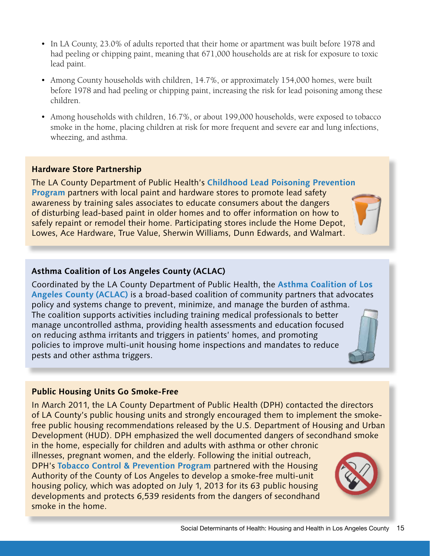- In LA County, 23.0% of adults reported that their home or apartment was built before 1978 and had peeling or chipping paint, meaning that 671,000 households are at risk for exposure to toxic lead paint.
- Among County households with children, 14.7%, or approximately 154,000 homes, were built before 1978 and had peeling or chipping paint, increasing the risk for lead poisoning among these children.
- Among households with children, 16.7%, or about 199,000 households, were exposed to tobacco smoke in the home, placing children at risk for more frequent and severe ear and lung infections, wheezing, and asthma.

#### **Hardware Store Partnership**

The LA County Department of Public Health's **[Childhood Lead Poisoning Prevention](http://publichealth.lacounty.gov/lead/)  [Program](http://publichealth.lacounty.gov/lead/)** partners with local paint and hardware stores to promote lead safety awareness by training sales associates to educate consumers about the dangers of disturbing lead-based paint in older homes and to offer information on how to safely repaint or remodel their home. Participating stores include the Home Depot, Lowes, Ace Hardware, True Value, Sherwin Williams, Dunn Edwards, and Walmart.

#### **Asthma Coalition of Los Angeles County (ACLAC)**

Coordinated by the LA County Department of Public Health, the **[Asthma Coalition of Los](http://www.asthmacoalitionla.org)  [Angeles County \(ACLAC\)](http://www.asthmacoalitionla.org)** is a broad-based coalition of community partners that advocates policy and systems change to prevent, minimize, and manage the burden of asthma. The coalition supports activities including training medical professionals to better manage uncontrolled asthma, providing health assessments and education focused on reducing asthma irritants and triggers in patients' homes, and promoting policies to improve multi-unit housing home inspections and mandates to reduce pests and other asthma triggers.

#### **Public Housing Units Go Smoke-Free**

In March 2011, the LA County Department of Public Health (DPH) contacted the directors of LA County's public housing units and strongly encouraged them to implement the smokefree public housing recommendations released by the U.S. Department of Housing and Urban Development (HUD). DPH emphasized the well documented dangers of secondhand smoke

in the home, especially for children and adults with asthma or other chronic illnesses, pregnant women, and the elderly. Following the initial outreach, DPH's **[Tobacco Control & Prevention Program](http://publichealth.lacounty.gov/tob/)** partnered with the Housing Authority of the County of Los Angeles to develop a smoke-free multi-unit housing policy, which was adopted on July 1, 2013 for its 63 public housing developments and protects 6,539 residents from the dangers of secondhand smoke in the home.

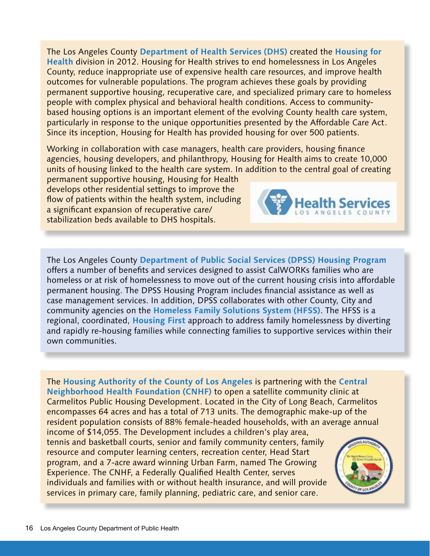The Los Angeles County **Department of Health Services [\(D](http://dhs.lacounty.gov)HS)** created the **[Housing for](dhs.lacounty.gov/wps/portal/dhs/housingforhealth)  Health** [division](dhs.lacounty.gov/wps/portal/dhs/housingforhealth) in 2012. Housing for Health strives to end homelessness in Los Angeles County, reduce inappropriate use of expensive health care resources, and improve health outcomes for vulnerable populations. The program achieves these goals by providing permanent supportive housing, recuperative care, and specialized primary care to homeless people with complex physical and behavioral health conditions. Access to communitybased housing options is an important element of the evolving County health care system, particularly in response to the unique opportunities presented by the Affordable Care Act. Since its inception, Housing for Health has provided housing for over 500 patients.

Working in collaboration with case managers, health care providers, housing finance agencies, housing developers, and philanthropy, Housing for Health aims to create 10,000 units of housing linked to the health care system. In addition to the central goal of creating

permanent supportive housing, Housing for Health develops other residential settings to improve the flow of patients within the health system, including a significant expansion of recuperative care/ stabilization beds available to DHS hospitals.



The Los Angeles County **[Department of Public Social Services \(DPSS\) Housing Program](http://dpss.lacounty.gov/dpss/hcm)** offers a number of benefits and services designed to assist CalWORKs families who are homeless or at risk of homelessness to move out of the current housing crisis into affordable permanent housing. The DPSS Housing Program includes financial assistance as well as case management services. In addition, DPSS collaborates with other County, City and community agencies on the **[Homeless Family Solutions System \(HFSS\)](http://file.lacounty.gov/dmh/cms1_216129.pdf)**. The HFSS is a regional, coordinated, **[Housing First](http://www.endhomelessness.org/pages/housing_first)** approach to address family homelessness by diverting and rapidly re-housing families while connecting families to supportive services within their own communities.

The **[Housing Authority of the County of Los Angeles](http://www.hacola.org/)** is partnering with the **[Central](http://www.cnhfclinics.org/)  [Neighborhood Health Foundation \(CNHF\)](http://www.cnhfclinics.org/)** to open a satellite community clinic at Carmelitos Public Housing Development. Located in the City of Long Beach, Carmelitos encompasses 64 acres and has a total of 713 units. The demographic make-up of the resident population consists of 88% female-headed households, with an average annual

income of \$14,055. The Development includes a children's play area, tennis and basketball courts, senior and family community centers, family resource and computer learning centers, recreation center, Head Start program, and a 7-acre award winning Urban Farm, named The Growing Experience. The CNHF, a Federally Qualified Health Center, serves individuals and families with or without health insurance, and will provide services in primary care, family planning, pediatric care, and senior care.

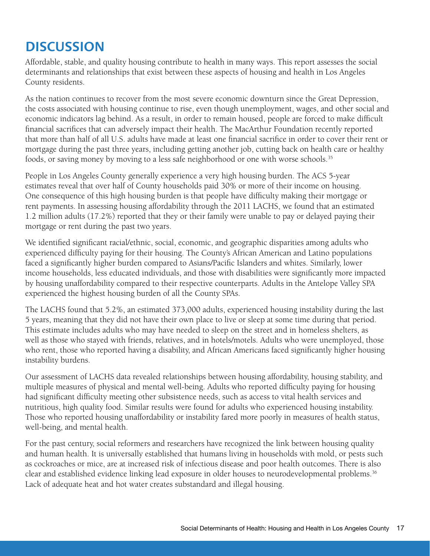## **DISCUSSION**

Affordable, stable, and quality housing contribute to health in many ways. This report assesses the social determinants and relationships that exist between these aspects of housing and health in Los Angeles County residents.

As the nation continues to recover from the most severe economic downturn since the Great Depression, the costs associated with housing continue to rise, even though unemployment, wages, and other social and economic indicators lag behind. As a result, in order to remain housed, people are forced to make difficult financial sacrifices that can adversely impact their health. The MacArthur Foundation recently reported that more than half of all U.S. adults have made at least one financial sacrifice in order to cover their rent or mortgage during the past three years, including getting another job, cutting back on health care or healthy foods, or saving money by moving to a less safe neighborhood or one with worse schools.<sup>35</sup>

People in Los Angeles County generally experience a very high housing burden. The ACS 5-year estimates reveal that over half of County households paid 30% or more of their income on housing. One consequence of this high housing burden is that people have difficulty making their mortgage or rent payments. In assessing housing affordability through the 2011 LACHS, we found that an estimated 1.2 million adults (17.2%) reported that they or their family were unable to pay or delayed paying their mortgage or rent during the past two years.

We identified significant racial/ethnic, social, economic, and geographic disparities among adults who experienced difficulty paying for their housing. The County's African American and Latino populations faced a significantly higher burden compared to Asians/Pacific Islanders and whites. Similarly, lower income households, less educated individuals, and those with disabilities were significantly more impacted by housing unaffordability compared to their respective counterparts. Adults in the Antelope Valley SPA experienced the highest housing burden of all the County SPAs.

The LACHS found that 5.2%, an estimated 373,000 adults, experienced housing instability during the last 5 years, meaning that they did not have their own place to live or sleep at some time during that period. This estimate includes adults who may have needed to sleep on the street and in homeless shelters, as well as those who stayed with friends, relatives, and in hotels/motels. Adults who were unemployed, those who rent, those who reported having a disability, and African Americans faced significantly higher housing instability burdens.

Our assessment of LACHS data revealed relationships between housing affordability, housing stability, and multiple measures of physical and mental well-being. Adults who reported difficulty paying for housing had significant difficulty meeting other subsistence needs, such as access to vital health services and nutritious, high quality food. Similar results were found for adults who experienced housing instability. Those who reported housing unaffordability or instability fared more poorly in measures of health status, well-being, and mental health.

For the past century, social reformers and researchers have recognized the link between housing quality and human health. It is universally established that humans living in households with mold, or pests such as cockroaches or mice, are at increased risk of infectious disease and poor health outcomes. There is also clear and established evidence linking lead exposure in older houses to neurodevelopmental problems.36 Lack of adequate heat and hot water creates substandard and illegal housing.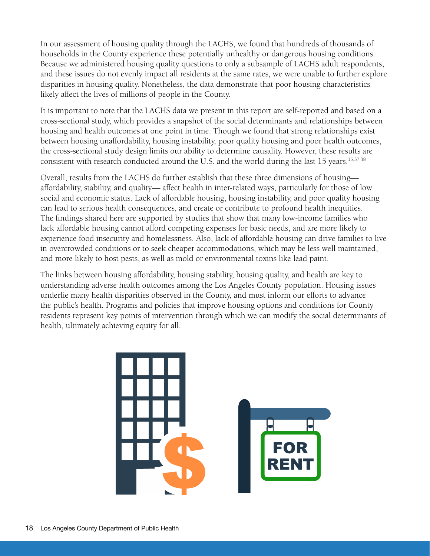In our assessment of housing quality through the LACHS, we found that hundreds of thousands of households in the County experience these potentially unhealthy or dangerous housing conditions. Because we administered housing quality questions to only a subsample of LACHS adult respondents, and these issues do not evenly impact all residents at the same rates, we were unable to further explore disparities in housing quality. Nonetheless, the data demonstrate that poor housing characteristics likely affect the lives of millions of people in the County.

It is important to note that the LACHS data we present in this report are self-reported and based on a cross-sectional study, which provides a snapshot of the social determinants and relationships between housing and health outcomes at one point in time. Though we found that strong relationships exist between housing unaffordability, housing instability, poor quality housing and poor health outcomes, the cross-sectional study design limits our ability to determine causality. However, these results are consistent with research conducted around the U.S. and the world during the last 15 years.<sup>15,37,38</sup>

Overall, results from the LACHS do further establish that these three dimensions of housing affordability, stability, and quality— affect health in inter-related ways, particularly for those of low social and economic status. Lack of affordable housing, housing instability, and poor quality housing can lead to serious health consequences, and create or contribute to profound health inequities. The findings shared here are supported by studies that show that many low-income families who lack affordable housing cannot afford competing expenses for basic needs, and are more likely to experience food insecurity and homelessness. Also, lack of affordable housing can drive families to live in overcrowded conditions or to seek cheaper accommodations, which may be less well maintained, and more likely to host pests, as well as mold or environmental toxins like lead paint.

The links between housing affordability, housing stability, housing quality, and health are key to understanding adverse health outcomes among the Los Angeles County population. Housing issues underlie many health disparities observed in the County, and must inform our efforts to advance the public's health. Programs and policies that improve housing options and conditions for County residents represent key points of intervention through which we can modify the social determinants of health, ultimately achieving equity for all.

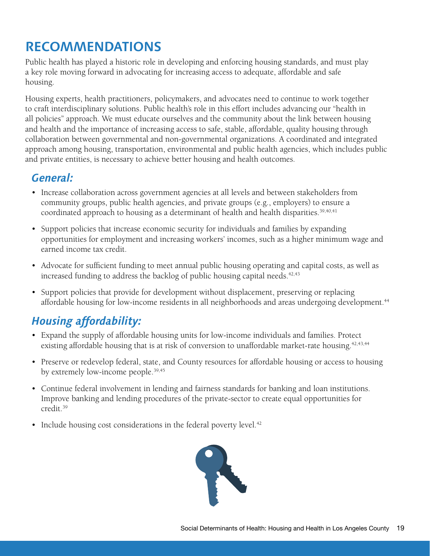## **RECOMMENDATIONS**

Public health has played a historic role in developing and enforcing housing standards, and must play a key role moving forward in advocating for increasing access to adequate, affordable and safe housing.

Housing experts, health practitioners, policymakers, and advocates need to continue to work together to craft interdisciplinary solutions. Public health's role in this effort includes advancing our "health in all policies" approach. We must educate ourselves and the community about the link between housing and health and the importance of increasing access to safe, stable, affordable, quality housing through collaboration between governmental and non-governmental organizations. A coordinated and integrated approach among housing, transportation, environmental and public health agencies, which includes public and private entities, is necessary to achieve better housing and health outcomes.

### *General:*

- Increase collaboration across government agencies at all levels and between stakeholders from community groups, public health agencies, and private groups (e.g., employers) to ensure a coordinated approach to housing as a determinant of health and health disparities.<sup>39,40,41</sup>
- Support policies that increase economic security for individuals and families by expanding opportunities for employment and increasing workers' incomes, such as a higher minimum wage and earned income tax credit.
- Advocate for sufficient funding to meet annual public housing operating and capital costs, as well as increased funding to address the backlog of public housing capital needs. $42,43$
- Support policies that provide for development without displacement, preserving or replacing affordable housing for low-income residents in all neighborhoods and areas undergoing development.<sup>44</sup>

## *Housing affordability:*

- Expand the supply of affordable housing units for low-income individuals and families. Protect existing affordable housing that is at risk of conversion to unaffordable market-rate housing.<sup>42,43,44</sup>
- Preserve or redevelop federal, state, and County resources for affordable housing or access to housing by extremely low-income people.<sup>39,45</sup>
- Continue federal involvement in lending and fairness standards for banking and loan institutions. Improve banking and lending procedures of the private-sector to create equal opportunities for credit.39
- Include housing cost considerations in the federal poverty level.<sup>42</sup>

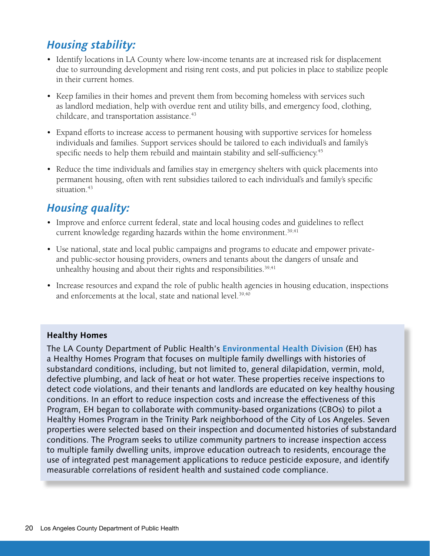### *Housing stability:*

- Identify locations in LA County where low-income tenants are at increased risk for displacement due to surrounding development and rising rent costs, and put policies in place to stabilize people in their current homes.
- Keep families in their homes and prevent them from becoming homeless with services such as landlord mediation, help with overdue rent and utility bills, and emergency food, clothing, childcare, and transportation assistance.<sup>43</sup>
- Expand efforts to increase access to permanent housing with supportive services for homeless individuals and families. Support services should be tailored to each individual's and family's specific needs to help them rebuild and maintain stability and self-sufficiency.<sup>45</sup>
- Reduce the time individuals and families stay in emergency shelters with quick placements into permanent housing, often with rent subsidies tailored to each individual's and family's specific situation.<sup>43</sup>

### *Housing quality:*

- Improve and enforce current federal, state and local housing codes and guidelines to reflect current knowledge regarding hazards within the home environment.<sup>39,41</sup>
- Use national, state and local public campaigns and programs to educate and empower privateand public-sector housing providers, owners and tenants about the dangers of unsafe and unhealthy housing and about their rights and responsibilities.<sup>39,41</sup>
- Increase resources and expand the role of public health agencies in housing education, inspections and enforcements at the local, state and national level.<sup>39,40</sup>

#### **Healthy Homes**

The LA County Department of Public Health's **[Environmental Health Division](http://publichealth.lacounty.gov/eh/)** (EH) has a Healthy Homes Program that focuses on multiple family dwellings with histories of substandard conditions, including, but not limited to, general dilapidation, vermin, mold, defective plumbing, and lack of heat or hot water. These properties receive inspections to detect code violations, and their tenants and landlords are educated on key healthy housing conditions. In an effort to reduce inspection costs and increase the effectiveness of this Program, EH began to collaborate with community-based organizations (CBOs) to pilot a Healthy Homes Program in the Trinity Park neighborhood of the City of Los Angeles. Seven properties were selected based on their inspection and documented histories of substandard conditions. The Program seeks to utilize community partners to increase inspection access to multiple family dwelling units, improve education outreach to residents, encourage the use of integrated pest management applications to reduce pesticide exposure, and identify measurable correlations of resident health and sustained code compliance.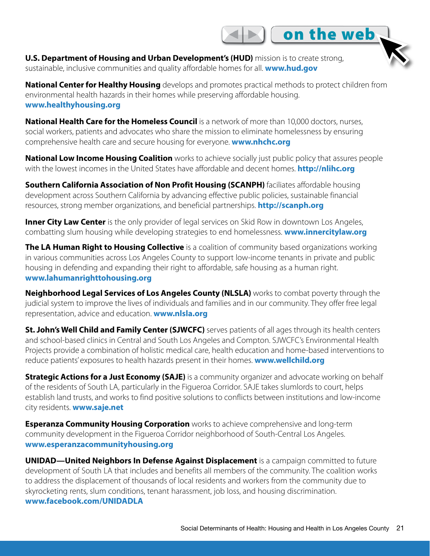**U.S. Department of Housing and Urban Development's (HUD)** mission is to create strong, sustainable, inclusive communities and quality affordable homes for all. **<www.hud.gov>** 

**National Center for Healthy Housing** develops and promotes practical methods to protect children from environmental health hazards in their homes while preserving affordable housing. **<www.healthyhousing.org>**

 $\blacksquare$  on the web

**National Health Care for the Homeless Council** is a network of more than 10,000 doctors, nurses, social workers, patients and advocates who share the mission to eliminate homelessness by ensuring comprehensive health care and secure housing for everyone. **[www.nhchc.org](http://www.nhchc.org/ )**

**National Low Income Housing Coalition** works to achieve socially just public policy that assures people with the lowest incomes in the United States have affordable and decent homes. **[http://nlihc.org](http://nlihc.org/)**

**Southern California Association of Non Profit Housing (SCANPH)** faciliates affordable housing development across Southern California by advancing effective public policies, sustainable financial resources, strong member organizations, and beneficial partnerships. **http://scanph.org**

**Inner City Law Center** is the only provider of legal services on Skid Row in downtown Los Angeles, combatting slum housing while developing strategies to end homelessness. **<www.innercitylaw.org>**

**The LA Human Right to Housing Collective** is a coalition of community based organizations working in various communities across Los Angeles County to support low-income tenants in private and public housing in defending and expanding their right to affordable, safe housing as a human right. **www.lahumanrighttohousing.org**

**Neighborhood Legal Services of Los Angeles County (NLSLA)** works to combat poverty through the judicial system to improve the lives of individuals and families and in our community. They offer free legal representation, advice and education. **www.nlsla.org**

**St. John's Well Child and Family Center (SJWCFC)** serves patients of all ages through its health centers and school-based clinics in Central and South Los Angeles and Compton. SJWCFC's Environmental Health Projects provide a combination of holistic medical care, health education and home-based interventions to reduce patients' exposures to health hazards present in their homes. **www.wellchild.org**

**Strategic Actions for a Just Economy (SAJE)** is a community organizer and advocate working on behalf of the residents of South LA, particularly in the Figueroa Corridor. SAJE takes slumlords to court, helps establish land trusts, and works to find positive solutions to conflicts between institutions and low-income city residents. **www.saje.net**

**Esperanza Community Housing Corporation** works to achieve comprehensive and long-term community development in the Figueroa Corridor neighborhood of South-Central Los Angeles. **[www.esperanzacommunityhousing.org](www.esperanzacommunityhousing.org/)**

**UNIDAD—United Neighbors In Defense Against Displacement** is a campaign committed to future development of South LA that includes and benefits all members of the community. The coalition works to address the displacement of thousands of local residents and workers from the community due to skyrocketing rents, slum conditions, tenant harassment, job loss, and housing discrimination. **www.facebook.com/UNIDADLA**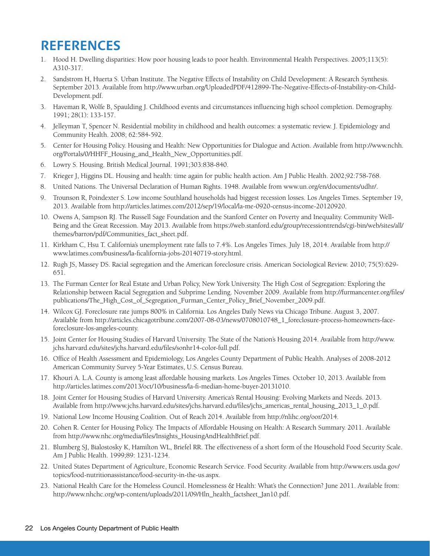## **REFERENCES**

- 1. Hood H. Dwelling disparities: How poor housing leads to poor health. Environmental Health Perspectives. 2005;113(5): A310-317.
- 2. Sandstrom H, Huerta S. Urban Institute. The Negative Effects of Instability on Child Development: A Research Synthesis. September 2013. Available from http://www.urban.org/UploadedPDF/412899-The-Negative-Effects-of-Instability-on-Child-Development.pdf.
- 3. Haveman R, Wolfe B, Spaulding J. Childhood events and circumstances influencing high school completion. Demography. 1991; 28(1): 133-157.
- 4. Jelleyman T, Spencer N. Residential mobility in childhood and health outcomes: a systematic review. J. Epidemiology and Community Health. 2008; 62:584-592.
- 5. Center for Housing Policy. Housing and Health: New Opportunities for Dialogue and Action. Available from [http://www.nchh.](http://www.nchh.org/Portals/0/HHFF_Housing_and_Health_New_Opportunities.pdf) [org/Portals/0/HHFF\\_Housing\\_and\\_Health\\_New\\_Opportunities.pdf](http://www.nchh.org/Portals/0/HHFF_Housing_and_Health_New_Opportunities.pdf).
- 6. Lowry S. Housing. British Medical Journal. 1991;303:838-840.
- 7. Krieger J, Higgins DL. Housing and health: time again for public health action. Am J Public Health. 2002;92:758-768.
- 8. United Nations. The Universal Declaration of Human Rights. 1948. Available from www.un.org/en/documents/udhr/.
- 9. Trounson R, Poindexter S. Low income Southland households had biggest recession losses. Los Angeles Times. September 19, 2013. Available from http://articles.latimes.com/2012/sep/19/local/la-me-0920-census-income-20120920.
- 10. Owens A, Sampson RJ. The Russell Sage Foundation and the Stanford Center on Poverty and Inequality. Community Well-Being and the Great Recession. May 2013. Available from [https://web.stanford.edu/group/recessiontrends/cgi-bin/web/sites/all/](https://web.stanford.edu/group/recessiontrends/cgi-bin/web/sites/all/themes/barron/pdf/Communities_fact_sheet.pdf) [themes/barron/pdf/Communities\\_fact\\_sheet.pdf.](https://web.stanford.edu/group/recessiontrends/cgi-bin/web/sites/all/themes/barron/pdf/Communities_fact_sheet.pdf)
- 11. Kirkham C, Hsu T. California's unemployment rate falls to 7.4%. Los Angeles Times. July 18, 2014. Available from http:// www.latimes.com/business/la-ficalifornia-jobs-20140719-story.html.
- 12. Rugh JS, Massey DS. Racial segregation and the American foreclosure crisis. American Sociological Review. 2010; 75(5):629- 651.
- 13. The Furman Center for Real Estate and Urban Policy, New York University. The High Cost of Segregation: Exploring the Relationship between Racial Segregation and Subprime Lending. November 2009. Available from [http://furmancenter.org/files/](http://furmancenter.org/files/publications/The_High_Cost_of_Segregation_Furman_Center_Policy_Brief_November_2009.pdf) [publications/The\\_High\\_Cost\\_of\\_Segregation\\_Furman\\_Center\\_Policy\\_Brief\\_November\\_2009.pdf](http://furmancenter.org/files/publications/The_High_Cost_of_Segregation_Furman_Center_Policy_Brief_November_2009.pdf).
- 14. Wilcox GJ. Foreclosure rate jumps 800% in California. Los Angeles Daily News via Chicago Tribune. August 3, 2007. Available from http://articles.chicagotribune.com/2007-08-03/news/0708010748\_1\_foreclosure-process-homeowners-faceforeclosure-los-angeles-county.
- 15. Joint Center for Housing Studies of Harvard University. The State of the Nation's Housing 2014. Available from [http://www.](http://www.jchs.harvard.edu/sites/jchs.harvard.edu/files/sonhr14-color-full.pdf) [jchs.harvard.edu/sites/jchs.harvard.edu/files/sonhr14-color-full.pdf.](http://www.jchs.harvard.edu/sites/jchs.harvard.edu/files/sonhr14-color-full.pdf)
- 16. Office of Health Assessment and Epidemiology, Los Angeles County Department of Public Health. Analyses of 2008-2012 American Community Survey 5-Year Estimates, U.S. Census Bureau.
- 17. Khouri A. L.A. County is among least affordable housing markets. Los Angeles Times. October 10, 2013. Available from http://articles.latimes.com/2013/oct/10/business/la-fi-median-home-buyer-20131010.
- 18. Joint Center for Housing Studies of Harvard University. America's Rental Housing: Evolving Markets and Needs. 2013. Available from http://www.jchs.harvard.edu/sites/jchs.harvard.edu/files/jchs\_americas\_rental\_housing\_2013\_1\_0.pdf.
- 19. National Low Income Housing Coalition. Out of Reach 2014. Available from http://nlihc.org/oor/2014.
- 20. Cohen R. Center for Housing Policy. The Impacts of Affordable Housing on Health: A Research Summary. 2011. Available from http://www.nhc.org/media/files/Insights\_HousingAndHealthBrief.pdf.
- 21. Blumberg SJ, Bialostosky K, Hamilton WL, Briefel RR. The effectiveness of a short form of the Household Food Security Scale. Am J Public Health. 1999;89: 1231-1234.
- 22. United States Department of Agriculture, Economic Research Service. Food Security. Available from [http://www.ers.usda.gov/](http://www.ers.usda.gov/topics/food-nutritionassistance/food-security-in-the-us.aspx) [topics/food-nutritionassistance/food-security-in-the-us.aspx](http://www.ers.usda.gov/topics/food-nutritionassistance/food-security-in-the-us.aspx).
- 23. National Health Care for the Homeless Council. Homelessness & Health: What's the Connection? June 2011. Available from: http://www.nhchc.org/wp-content/uploads/2011/09/Hln\_health\_factsheet\_Jan10.pdf.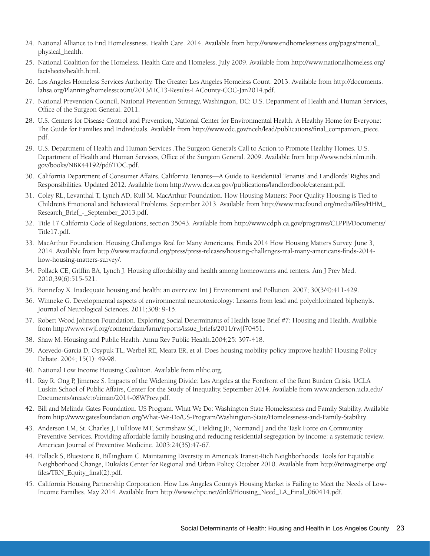- 24. National Alliance to End Homelessness. Health Care. 2014. Available from [http://www.endhomelessness.org/pages/mental\\_](http://www.endhomelessness.org/pages/mental_physical_health) [physical\\_health.](http://www.endhomelessness.org/pages/mental_physical_health)
- 25. National Coalition for the Homeless. Health Care and Homeless. July 2009. Available from [http://www.nationalhomeless.org/](http://www.nationalhomeless.org/factsheets/health.html) [factsheets/health.html](http://www.nationalhomeless.org/factsheets/health.html).
- 26. Los Angeles Homeless Services Authority. The Greater Los Angeles Homeless Count. 2013. Available from [http://documents.](http://documents.lahsa.org/Planning/homelesscount/2013/HC13-Results-LACounty-COC-Jan2014.pdf) [lahsa.org/Planning/homelesscount/2013/HC13-Results-LACounty-COC-Jan2014.pdf.](http://documents.lahsa.org/Planning/homelesscount/2013/HC13-Results-LACounty-COC-Jan2014.pdf)
- 27. National Prevention Council, National Prevention Strategy, Washington, DC: U.S. Department of Health and Human Services, Office of the Surgeon General. 2011.
- 28. U.S. Centers for Disease Control and Prevention, National Center for Environmental Health. A Healthy Home for Everyone: The Guide for Families and Individuals. Available from [http://www.cdc.gov/nceh/lead/publications/final\\_companion\\_piece.](http://www.cdc.gov/nceh/lead/publications/final_companion_piece.pdf) [pdf](http://www.cdc.gov/nceh/lead/publications/final_companion_piece.pdf).
- 29. U.S. Department of Health and Human Services .The Surgeon General's Call to Action to Promote Healthy Homes. U.S. Department of Health and Human Services, Office of the Surgeon General. 2009. Available from [http://www.ncbi.nlm.nih.](http://www.ncbi.nlm.nih.gov/books/NBK44192/pdf/TOC.pdf) [gov/books/NBK44192/pdf/TOC.pdf](http://www.ncbi.nlm.nih.gov/books/NBK44192/pdf/TOC.pdf).
- 30. California Department of Consumer Affairs. California Tenants—A Guide to Residential Tenants' and Landlords' Rights and Responsibilities. Updated 2012. Available from http://www.dca.ca.gov/publications/landlordbook/catenant.pdf.
- 31. Coley RL, Levanthal T, Lynch AD, Kull M. MacArthur Foundation. How Housing Matters: Poor Quality Housing is Tied to Children's Emotional and Behavioral Problems. September 2013. Available from [http://www.macfound.org/media/files/HHM\\_](http://www.macfound.org/media/files/HHM_Research_Brief_-_September_2013.pdf) [Research\\_Brief\\_-\\_September\\_2013.pdf.](http://www.macfound.org/media/files/HHM_Research_Brief_-_September_2013.pdf)
- 32. Title 17 California Code of Regulations, section 35043. Available from [http://www.cdph.ca.gov/programs/CLPPB/Documents/](http://www.cdph.ca.gov/programs/CLPPB/Documents/Title17.pdf) [Title17.pdf.](http://www.cdph.ca.gov/programs/CLPPB/Documents/Title17.pdf)
- 33. MacArthur Foundation. Housing Challenges Real for Many Americans, Finds 2014 How Housing Matters Survey. June 3, 2014. Available from http://www.macfound.org/press/press-releases/housing-challenges-real-many-americans-finds-2014 how-housing-matters-survey/.
- 34. Pollack CE, Griffin BA, Lynch J. Housing affordability and health among homeowners and renters. Am J Prev Med. 2010;39(6):515-521.
- 35. Bonnefoy X. Inadequate housing and health: an overview. Int J Environment and Pollution. 2007; 30(3/4):411-429.
- 36. Winneke G. Developmental aspects of environmental neurotoxicology: Lessons from lead and polychlorinated biphenyls. Journal of Neurological Sciences. 2011;308: 9-15.
- 37. Robert Wood Johnson Foundation. Exploring Social Determinants of Health Issue Brief #7: Housing and Health. Available from http://www.rwjf.org/content/dam/farm/reports/issue\_briefs/2011/rwjf70451.
- 38. Shaw M. Housing and Public Health. Annu Rev Public Health.2004;25: 397-418.
- 39. Acevedo-Garcia D, Osypuk TL, Werbel RE, Meara ER, et al. Does housing mobility policy improve health? Housing Policy Debate. 2004; 15(1): 49-98.
- 40. National Low Income Housing Coalition. Available from nlihc.org.
- 41. Ray R, Ong P, Jimenez S. Impacts of the Widening Divide: Los Angeles at the Forefront of the Rent Burden Crisis. UCLA Luskin School of Public Affairs, Center for the Study of Inequality. September 2014. Available from [www.anderson.ucla.edu/](www.anderson.ucla.edu/Documents/areas/ctr/ziman/2014-08WPrev.pdf) [Documents/areas/ctr/ziman/2014-08WPrev.pdf](www.anderson.ucla.edu/Documents/areas/ctr/ziman/2014-08WPrev.pdf).
- 42. Bill and Melinda Gates Foundation. US Program. What We Do: Washington State Homelessness and Family Stability. Available from http://www.gatesfoundation.org/What-We-Do/US-Program/Washington-State/Homelessness-and-Family-Stability.
- 43. Anderson LM, St. Charles J, Fullilove MT, Scrimshaw SC, Fielding JE, Normand J and the Task Force on Community Preventive Services. Providing affordable family housing and reducing residential segregation by income: a systematic review. American Journal of Preventive Medicine. 2003;24(3S):47-67.
- 44. Pollack S, Bluestone B, Billingham C. Maintaining Diversity in America's Transit-Rich Neighborhoods: Tools for Equitable Neighborhood Change, Dukakis Center for Regional and Urban Policy, October 2010. Available from [http://reimaginerpe.org/](http://reimaginerpe.org/files/TRN_Equity_final(2).pdf) [files/TRN\\_Equity\\_final\(2\).pdf.](http://reimaginerpe.org/files/TRN_Equity_final(2).pdf)
- 45. California Housing Partnership Corporation. How Los Angeles County's Housing Market is Failing to Meet the Needs of Low-Income Families. May 2014. Available from http://www.chpc.net/dnld/Housing\_Need\_LA\_Final\_060414.pdf.